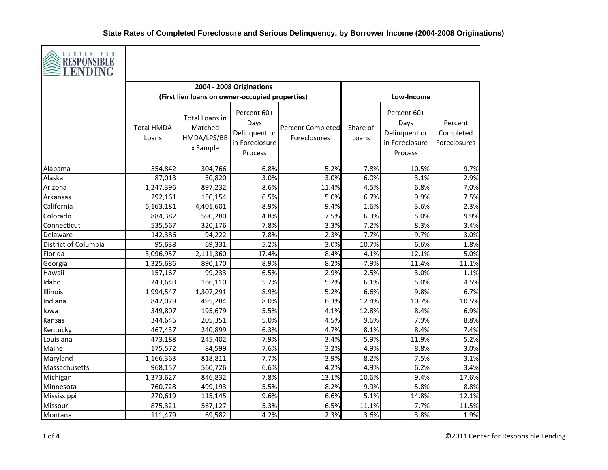

| <b>THEFT OF BUILDING</b><br><b>LENDING</b> |                            |                                                      |                                                                   |                                          |                   |                                                                   |                                      |  |  |
|--------------------------------------------|----------------------------|------------------------------------------------------|-------------------------------------------------------------------|------------------------------------------|-------------------|-------------------------------------------------------------------|--------------------------------------|--|--|
|                                            |                            |                                                      | 2004 - 2008 Originations                                          |                                          |                   |                                                                   |                                      |  |  |
|                                            |                            | (First lien loans on owner-occupied properties)      |                                                                   |                                          |                   | Low-Income                                                        |                                      |  |  |
|                                            | <b>Total HMDA</b><br>Loans | Total Loans in<br>Matched<br>HMDA/LPS/BB<br>x Sample | Percent 60+<br>Days<br>Delinquent or<br>in Foreclosure<br>Process | <b>Percent Completed</b><br>Foreclosures | Share of<br>Loans | Percent 60+<br>Days<br>Delinquent or<br>in Foreclosure<br>Process | Percent<br>Completed<br>Foreclosures |  |  |
| Alabama                                    | 554,842                    | 304,766                                              | 6.8%                                                              | 5.2%                                     | 7.8%              | 10.5%                                                             | 9.7%                                 |  |  |
| Alaska                                     | 87,013                     | 50,820                                               | 3.0%                                                              | 3.0%                                     | 6.0%              | 3.1%                                                              | 2.9%                                 |  |  |
| Arizona                                    | 1,247,396                  | 897,232                                              | 8.6%                                                              | 11.4%                                    | 4.5%              | 6.8%                                                              | 7.0%                                 |  |  |
| Arkansas                                   | 292,161                    | 150,154                                              | 6.5%                                                              | 5.0%                                     | 6.7%              | 9.9%                                                              | 7.5%                                 |  |  |
| California                                 | 6,163,181                  | 4,401,601                                            | 8.9%                                                              | 9.4%                                     | 1.6%              | 3.6%                                                              | 2.3%                                 |  |  |
| Colorado                                   | 884,382                    | 590,280                                              | 4.8%                                                              | 7.5%                                     | 6.3%              | 5.0%                                                              | 9.9%                                 |  |  |
| Connecticut                                | 535,567                    | 320,176                                              | 7.8%                                                              | 3.3%                                     | 7.2%              | 8.3%                                                              | 3.4%                                 |  |  |
| Delaware                                   | 142,386                    | 94,222                                               | 7.8%                                                              | 2.3%                                     | 7.7%              | 9.7%                                                              | 3.0%                                 |  |  |
| District of Columbia                       | 95,638                     | 69,331                                               | 5.2%                                                              | 3.0%                                     | 10.7%             | 6.6%                                                              | 1.8%                                 |  |  |
| Florida                                    | 3,096,957                  | 2,111,360                                            | 17.4%                                                             | 8.4%                                     | 4.1%              | 12.1%                                                             | 5.0%                                 |  |  |
| Georgia                                    | 1,325,686                  | 890,170                                              | 8.9%                                                              | 8.2%                                     | 7.9%              | 11.4%                                                             | 11.1%                                |  |  |
| Hawaii                                     | 157,167                    | 99,233                                               | 6.5%                                                              | 2.9%                                     | 2.5%              | 3.0%                                                              | 1.1%                                 |  |  |
| Idaho                                      | 243,640                    | 166,110                                              | 5.7%                                                              | 5.2%                                     | 6.1%              | 5.0%                                                              | 4.5%                                 |  |  |
| Illinois                                   | 1,994,547                  | 1,307,291                                            | 8.9%                                                              | 5.2%                                     | 6.6%              | 9.8%                                                              | 6.7%                                 |  |  |
| Indiana                                    | 842,079                    | 495,284                                              | 8.0%                                                              | 6.3%                                     | 12.4%             | 10.7%                                                             | 10.5%                                |  |  |
| lowa                                       | 349,807                    | 195,679                                              | 5.5%                                                              | 4.1%                                     | 12.8%             | 8.4%                                                              | 6.9%                                 |  |  |
| Kansas                                     | 344,646                    | 205,351                                              | 5.0%                                                              | 4.5%                                     | 9.6%              | 7.9%                                                              | 8.8%                                 |  |  |
| Kentucky                                   | 467,437                    | 240,899                                              | 6.3%                                                              | 4.7%                                     | 8.1%              | 8.4%                                                              | 7.4%                                 |  |  |
| Louisiana                                  | 473,188                    | 245,402                                              | 7.9%                                                              | 3.4%                                     | 5.9%              | 11.9%                                                             | 5.2%                                 |  |  |
| Maine                                      | 175,572                    | 84,599                                               | 7.6%                                                              | 3.2%                                     | 4.9%              | 8.8%                                                              | 3.0%                                 |  |  |
| Maryland                                   | 1,166,363                  | 818,811                                              | 7.7%                                                              | 3.9%                                     | 8.2%              | 7.5%                                                              | 3.1%                                 |  |  |
| Massachusetts                              | 968,157                    | 560,726                                              | 6.6%                                                              | 4.2%                                     | 4.9%              | 6.2%                                                              | 3.4%                                 |  |  |
| Michigan                                   | 1,373,627                  | 846,832                                              | 7.8%                                                              | 13.1%                                    | 10.6%             | 9.4%                                                              | 17.6%                                |  |  |
| Minnesota                                  | 760,728                    | 499,193                                              | 5.5%                                                              | 8.2%                                     | 9.9%              | 5.8%                                                              | 8.8%                                 |  |  |
| Mississippi                                | 270,619                    | 115,145                                              | 9.6%                                                              | 6.6%                                     | 5.1%              | 14.8%                                                             | 12.1%                                |  |  |
| Missouri                                   | 875,321                    | 567,127                                              | 5.3%                                                              | 6.5%                                     | 11.1%             | 7.7%                                                              | 11.5%                                |  |  |
| Montana                                    | 111,479                    | 69,582                                               | 4.2%                                                              | 2.3%                                     | 3.6%              | 3.8%                                                              | 1.9%                                 |  |  |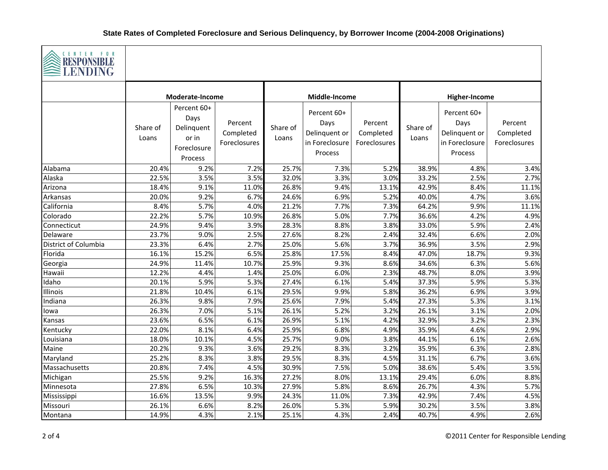

| ELENDING             |                   |                                                                      |                                      |                   |                                                                   |                                      |                   |                                                                   |                                      |
|----------------------|-------------------|----------------------------------------------------------------------|--------------------------------------|-------------------|-------------------------------------------------------------------|--------------------------------------|-------------------|-------------------------------------------------------------------|--------------------------------------|
|                      | Moderate-Income   |                                                                      |                                      | Middle-Income     |                                                                   |                                      | Higher-Income     |                                                                   |                                      |
|                      | Share of<br>Loans | Percent 60+<br>Days<br>Delinquent<br>or in<br>Foreclosure<br>Process | Percent<br>Completed<br>Foreclosures | Share of<br>Loans | Percent 60+<br>Days<br>Delinquent or<br>in Foreclosure<br>Process | Percent<br>Completed<br>Foreclosures | Share of<br>Loans | Percent 60+<br>Days<br>Delinquent or<br>in Foreclosure<br>Process | Percent<br>Completed<br>Foreclosures |
| Alabama              | 20.4%             | 9.2%                                                                 | 7.2%                                 | 25.7%             | 7.3%                                                              | 5.2%                                 | 38.9%             | 4.8%                                                              | 3.4%                                 |
| Alaska               | 22.5%             | 3.5%                                                                 | 3.5%                                 | 32.0%             | 3.3%                                                              | 3.0%                                 | 33.2%             | 2.5%                                                              | 2.7%                                 |
| Arizona              | 18.4%             | 9.1%                                                                 | 11.0%                                | 26.8%             | 9.4%                                                              | 13.1%                                | 42.9%             | 8.4%                                                              | 11.1%                                |
| Arkansas             | 20.0%             | 9.2%                                                                 | 6.7%                                 | 24.6%             | 6.9%                                                              | 5.2%                                 | 40.0%             | 4.7%                                                              | 3.6%                                 |
| California           | 8.4%              | 5.7%                                                                 | 4.0%                                 | 21.2%             | 7.7%                                                              | 7.3%                                 | 64.2%             | 9.9%                                                              | 11.1%                                |
| Colorado             | 22.2%             | 5.7%                                                                 | 10.9%                                | 26.8%             | 5.0%                                                              | 7.7%                                 | 36.6%             | 4.2%                                                              | 4.9%                                 |
| Connecticut          | 24.9%             | 9.4%                                                                 | 3.9%                                 | 28.3%             | 8.8%                                                              | 3.8%                                 | 33.0%             | 5.9%                                                              | 2.4%                                 |
| Delaware             | 23.7%             | 9.0%                                                                 | 2.5%                                 | 27.6%             | 8.2%                                                              | 2.4%                                 | 32.4%             | 6.6%                                                              | 2.0%                                 |
| District of Columbia | 23.3%             | 6.4%                                                                 | 2.7%                                 | 25.0%             | 5.6%                                                              | 3.7%                                 | 36.9%             | 3.5%                                                              | 2.9%                                 |
| Florida              | 16.1%             | 15.2%                                                                | 6.5%                                 | 25.8%             | 17.5%                                                             | 8.4%                                 | 47.0%             | 18.7%                                                             | 9.3%                                 |
| Georgia              | 24.9%             | 11.4%                                                                | 10.7%                                | 25.9%<br>25.0%    | 9.3%                                                              | 8.6%                                 | 34.6%<br>48.7%    | 6.3%                                                              | 5.6%                                 |
| Hawaii<br>Idaho      | 12.2%<br>20.1%    | 4.4%<br>5.9%                                                         | 1.4%<br>5.3%                         | 27.4%             | 6.0%<br>6.1%                                                      | 2.3%<br>5.4%                         | 37.3%             | 8.0%<br>5.9%                                                      | 3.9%                                 |
|                      | 21.8%             | 10.4%                                                                | 6.1%                                 | 29.5%             | 9.9%                                                              | 5.8%                                 | 36.2%             | 6.9%                                                              | 5.3%                                 |
| Illinois<br>Indiana  | 26.3%             | 9.8%                                                                 | 7.9%                                 | 25.6%             | 7.9%                                                              | 5.4%                                 | 27.3%             | 5.3%                                                              | 3.9%<br>3.1%                         |
|                      | 26.3%             | 7.0%                                                                 | 5.1%                                 | 26.1%             | 5.2%                                                              | 3.2%                                 | 26.1%             | 3.1%                                                              | 2.0%                                 |
| lowa<br>Kansas       | 23.6%             | 6.5%                                                                 | 6.1%                                 | 26.9%             | 5.1%                                                              | 4.2%                                 | 32.9%             | 3.2%                                                              | 2.3%                                 |
| Kentucky             | 22.0%             | 8.1%                                                                 | 6.4%                                 | 25.9%             | 6.8%                                                              | 4.9%                                 | 35.9%             | 4.6%                                                              | 2.9%                                 |
| Louisiana            | 18.0%             | 10.1%                                                                | 4.5%                                 | 25.7%             | 9.0%                                                              | 3.8%                                 | 44.1%             | 6.1%                                                              | 2.6%                                 |
| Maine                | 20.2%             | 9.3%                                                                 | 3.6%                                 | 29.2%             | 8.3%                                                              | 3.2%                                 | 35.9%             | 6.3%                                                              | 2.8%                                 |
| Maryland             | 25.2%             | 8.3%                                                                 | 3.8%                                 | 29.5%             | 8.3%                                                              | 4.5%                                 | 31.1%             | 6.7%                                                              | 3.6%                                 |
| Massachusetts        | 20.8%             | 7.4%                                                                 | 4.5%                                 | 30.9%             | 7.5%                                                              | 5.0%                                 | 38.6%             | 5.4%                                                              | 3.5%                                 |
| Michigan             | 25.5%             | 9.2%                                                                 | 16.3%                                | 27.2%             | 8.0%                                                              | 13.1%                                | 29.4%             | 6.0%                                                              | 8.8%                                 |
| Minnesota            | 27.8%             | 6.5%                                                                 | 10.3%                                | 27.9%             | 5.8%                                                              | 8.6%                                 | 26.7%             | 4.3%                                                              | 5.7%                                 |
| Mississippi          | 16.6%             | 13.5%                                                                | 9.9%                                 | 24.3%             | 11.0%                                                             | 7.3%                                 | 42.9%             | 7.4%                                                              | 4.5%                                 |
| Missouri             | 26.1%             | 6.6%                                                                 | 8.2%                                 | 26.0%             | 5.3%                                                              | 5.9%                                 | 30.2%             | 3.5%                                                              | 3.8%                                 |
| Montana              | 14.9%             | 4.3%                                                                 | 2.1%                                 | 25.1%             | 4.3%                                                              | 2.4%                                 | 40.7%             | 4.9%                                                              | 2.6%                                 |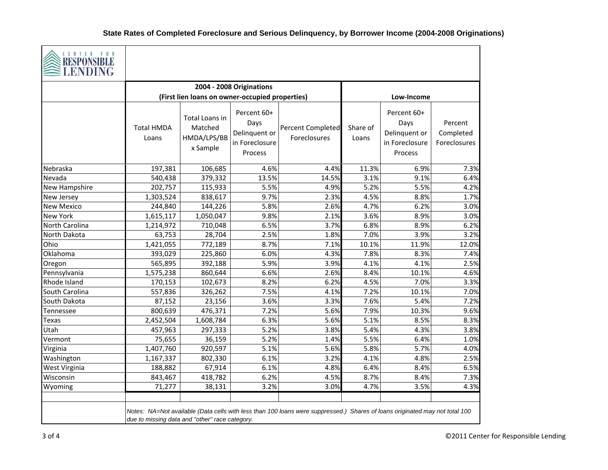

| S неэт отопрее<br><b>LENDING</b> |                                                |                                                      |                                                                   |                                                                                                                             |                   |                                                                   |                                      |
|----------------------------------|------------------------------------------------|------------------------------------------------------|-------------------------------------------------------------------|-----------------------------------------------------------------------------------------------------------------------------|-------------------|-------------------------------------------------------------------|--------------------------------------|
|                                  |                                                |                                                      | 2004 - 2008 Originations                                          |                                                                                                                             |                   |                                                                   |                                      |
|                                  |                                                | (First lien loans on owner-occupied properties)      |                                                                   |                                                                                                                             |                   | Low-Income                                                        |                                      |
|                                  | <b>Total HMDA</b><br>Loans                     | Total Loans in<br>Matched<br>HMDA/LPS/BB<br>x Sample | Percent 60+<br>Days<br>Delinquent or<br>in Foreclosure<br>Process | <b>Percent Completed</b><br>Foreclosures                                                                                    | Share of<br>Loans | Percent 60+<br>Days<br>Delinquent or<br>in Foreclosure<br>Process | Percent<br>Completed<br>Foreclosures |
| Nebraska                         | 197,381                                        | 106,685                                              | 4.6%                                                              | 4.4%                                                                                                                        | 11.3%             | 6.9%                                                              | 7.3%                                 |
| Nevada                           | 540,438                                        | 379,332                                              | 13.5%                                                             | 14.5%                                                                                                                       | 3.1%              | 9.1%                                                              | 6.4%                                 |
| <b>New Hampshire</b>             | 202,757                                        | 115,933                                              | 5.5%                                                              | 4.9%                                                                                                                        | 5.2%              | 5.5%                                                              | 4.2%                                 |
| New Jersey                       | 1,303,524                                      | 838,617                                              | 9.7%                                                              | 2.3%                                                                                                                        | 4.5%              | 8.8%                                                              | 1.7%                                 |
| <b>New Mexico</b>                | 244,840                                        | 144,226                                              | 5.8%                                                              | 2.6%                                                                                                                        | 4.7%              | 6.2%                                                              | 3.0%                                 |
| <b>New York</b>                  | 1,615,117                                      | 1,050,047                                            | 9.8%                                                              | 2.1%                                                                                                                        | 3.6%              | 8.9%                                                              | 3.0%                                 |
| North Carolina                   | 1,214,972                                      | 710,048                                              | 6.5%                                                              | 3.7%                                                                                                                        | 6.8%              | 8.9%                                                              | 6.2%                                 |
| North Dakota                     | 63,753                                         | 28,704                                               | 2.5%                                                              | 1.8%                                                                                                                        | 7.0%              | 3.9%                                                              | 3.2%                                 |
| Ohio                             | 1,421,055                                      | 772,189                                              | 8.7%                                                              | 7.1%                                                                                                                        | 10.1%             | 11.9%                                                             | 12.0%                                |
| Oklahoma                         | 393,029                                        | 225,860                                              | 6.0%                                                              | 4.3%                                                                                                                        | 7.8%              | 8.3%                                                              | 7.4%                                 |
| Oregon                           | 565,895                                        | 392,188                                              | 5.9%                                                              | 3.9%                                                                                                                        | 4.1%              | 4.1%                                                              | 2.5%                                 |
| Pennsylvania                     | 1,575,238                                      | 860,644                                              | 6.6%                                                              | 2.6%                                                                                                                        | 8.4%              | 10.1%                                                             | 4.6%                                 |
| Rhode Island                     | 170,153                                        | 102,673                                              | 8.2%                                                              | 6.2%                                                                                                                        | 4.5%              | 7.0%                                                              | 3.3%                                 |
| South Carolina                   | 557,836                                        | 326,262                                              | 7.5%                                                              | 4.1%                                                                                                                        | 7.2%              | 10.1%                                                             | 7.0%                                 |
| South Dakota                     | 87,152                                         | 23,156                                               | 3.6%                                                              | 3.3%                                                                                                                        | 7.6%              | 5.4%                                                              | 7.2%                                 |
| Tennessee                        | 800,639                                        | 476,371                                              | 7.2%                                                              | 5.6%                                                                                                                        | 7.9%              | 10.3%                                                             | 9.6%                                 |
| Texas                            | 2,452,504                                      | 1,608,784                                            | 6.3%                                                              | 5.6%                                                                                                                        | 5.1%              | 8.5%                                                              | 8.3%                                 |
| Utah                             | 457,963                                        | 297,333                                              | 5.2%                                                              | 3.8%                                                                                                                        | 5.4%              | 4.3%                                                              | 3.8%                                 |
| Vermont                          | 75,655                                         | 36,159                                               | 5.2%                                                              | 1.4%                                                                                                                        | 5.5%              | 6.4%                                                              | 1.0%                                 |
| Virginia                         | 1,407,760                                      | 920,597                                              | 5.1%                                                              | 5.6%                                                                                                                        | 5.8%              | 5.7%                                                              | 4.0%                                 |
| Washington                       | 1,167,337                                      | 802,330                                              | 6.1%                                                              | 3.2%                                                                                                                        | 4.1%              | 4.8%                                                              | 2.5%                                 |
| West Virginia                    | 188,882                                        | 67,914                                               | 6.1%                                                              | 4.8%                                                                                                                        | 6.4%              | 8.4%                                                              | 6.5%                                 |
| Wisconsin                        | 843,467                                        | 418,782                                              | 6.2%                                                              | 4.5%                                                                                                                        | 8.7%              | 8.4%                                                              | 7.3%                                 |
| Wyoming                          | 71,277                                         | 38,131                                               | 3.2%                                                              | 3.0%                                                                                                                        | 4.7%              | 3.5%                                                              | 4.3%                                 |
|                                  | due to missing data and "other" race category. |                                                      |                                                                   | Notes: NA=Not available (Data cells with less than 100 loans were suppressed.) Shares of loans originated may not total 100 |                   |                                                                   |                                      |